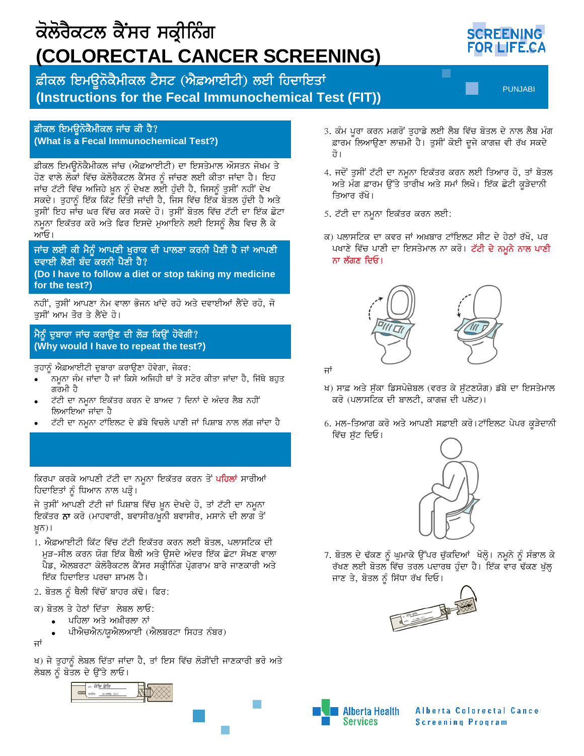

### ਫ਼ੀਕਲ ਇਮਉਨੋਕੈਮੀਕਲ ਜਾਂਚ ਕੀ ਹੈ? (What is a Fecal Immunochemical Test?)

ਫ਼ੀਕਲ ਇਮੳਨੋਕੈਮੀਕਲ ਜਾਂਚ (ਐਫ਼ਆਈਟੀ) ਦਾ ਇਸਤੇਮਾਲ ਔਸਤਨ ਜੋਖਮ ਤੇ ਹੋਣ ਵਾਲੇ ਲੋਕਾਂ ਵਿੱਚ ਕੋਲੋਰੈਕਟਲ ਕੈਂਸਰ ਨੂੰ ਜਾਂਚਣ ਲਈ ਕੀਤਾ ਜਾਂਦਾ ਹੈ। ਇਹ ਜਾਂਚ ਟੱਟੀ ਵਿੱਚ ਅਜਿਹੇ ਖ਼ੂਨ ਨੂੰ ਦੇਖਣ ਲਈ ਹੁੰਦੀ ਹੈ, ਜਿਸਨੂੰ ਤੁਸੀਂ ਨਹੀਂ ਦੇਖ ਸਕਦੇ। ਤੁਹਾਨੂੰ ਇੱਕ ਕਿੱਟ ਦਿੱਤੀ ਜਾਂਦੀ ਹੈ, ਜਿਸ ਵਿੱਚ ਇੱਕ ਬੋਤਲ ਹੁੰਦੀ ਹੈ ਅਤੇ ਤੁਸੀਂ ਇਹ ਜਾਂਚ ਘਰ ਵਿੱਚ ਕਰ ਸਕਦੇ ਹੋ। ਤੁਸੀਂ ਬੋਤਲ ਵਿੱਚ ਟੱਟੀ ਦਾ ਇੱਕ ਛੋਟਾ ਨਮੂਨਾ ਇਕੱਤਰ ਕਰੋ ਅਤੇ ਫਿਰ ਇਸਦੇ ਮੁਆਇਨੇ ਲਈ ਇਸਨੂੰ ਲੈਬ ਵਿਚ ਲੈ ਕੇ ਆਓ।

### ਜਾਂਚ ਲਈ ਕੀ ਮੈਨੂੰ ਆਪਣੀ ਖੁਰਾਕ ਦੀ ਪਾਲਣਾ ਕਰਨੀ ਪੈਣੀ ਹੈ ਜਾਂ ਆਪਣੀ ਦਵਾਈ ਲੈਣੀ ਬੰਦ ਕਰਨੀ ਪੈਣੀ ਹੈ?

(Do I have to follow a diet or stop taking my medicine for the test?)

ਨਹੀਂ, ਤੁਸੀਂ ਆਪਣਾ ਨੇਮ ਵਾਲਾ ਭੋਜਨ ਖਾਂਦੇ ਰਹੋ ਅਤੇ ਦਵਾਈਆਂ ਲੈਂਦੇ ਰਹੋ, ਜੋ ਤਸੀਂ ਆਮ ਤੌਰ ਤੇ ਲੈਂਦੇ ਹੋ।

## ਮੈਨੂੰ ਦੁਬਾਰਾ ਜਾਂਚ ਕਰਾਉਣ ਦੀ ਲੋੜ ਕਿਉਂ ਹੋਵੇਗੀ? (Why would I have to repeat the test?)

ਤੁਹਾਨੂੰ ਐਫ਼ਆਈਟੀ ਦੁਬਾਰਾ ਕਰਾਉਣਾ ਹੋਵੇਗਾ, ਜੇਕਰ:

- ਨਮੂਨਾ ਜੰਮ ਜਾਂਦਾ ਹੈ ਜਾਂ ਕਿਸੇ ਅਜਿਹੀ ਥਾਂ ਤੇ ਸਟੋਰ ਕੀਤਾ ਜਾਂਦਾ ਹੈ, ਜਿੱਥੇ ਬਹੁਤ ਗਰਮੀ ਹੈ
- ਟੱਟੀ ਦਾ ਨਮੂਨਾ ਇਕੱਤਰ ਕਰਨ ਦੇ ਬਾਅਦ 7 ਦਿਨਾਂ ਦੇ ਅੰਦਰ ਲੈਬ ਨਹੀਂ ਲਿਆਇਆ ਜਾਂਦਾ ਹੈ
- ਟੱਟੀ ਦਾ ਨਮੂਨਾ ਟਾੱਇਲਟ ਦੇ ਡੱਬੇ ਵਿਚਲੇ ਪਾਣੀ ਜਾਂ ਪਿਸ਼ਾਬ ਨਾਲ ਲੱਗ ਜਾਂਦਾ ਹੈ

ਕਿਰਪਾ ਕਰਕੇ ਆਪਣੀ ਟੱਟੀ ਦਾ ਨਮੂਨਾ ਇਕੱਤਰ ਕਰਨ ਤੋਂ ਪ<mark>ਹਿਲਾਂ</mark> ਸਾਰੀਆਂ ਹਿਦਾਇਤਾਂ ਨੂੰ ਧਿਆਨ ਨਾਲ ਪੜ੍ਹੋ।

ਜੇ ਤੁਸੀਂ ਆਪਣੀ ਟੱਟੀ ਜਾਂ ਪਿਸ਼ਾਬ ਵਿੱਚ ਖ਼ੂਨ ਦੇਖਦੇ ਹੋ, ਤਾਂ ਟੱਟੀ ਦਾ ਨਮੂਨਾ ਇਕੱਤਰ **ਨਾ** ਕਰੋ (ਮਾਹਵਾਰੀ, ਬਵਾਸੀਰ/ਖ਼ੁਨੀ ਬਵਾਸੀਰ, ਮਸਾਨੇ ਦੀ ਲਾਗ ਤੋਂ ਖ਼ੁਨ)।

- 1. ਐਫ਼ਆਈਟੀ ਕਿੱਟ ਵਿੱਚ ਟੱਟੀ ਇਕੱਤਰ ਕਰਨ ਲਈ ਬੋਤਲ, ਪਲਾਸਟਿਕ ਦੀ ਮੜ-ਸੀਲ ਕਰਨ ਯੋਗ ਇੱਕ ਥੈਲੀ ਅਤੇ ਉਸਦੇ ਅੰਦਰ ਇੱਕ ਛੋਟਾ ਸੋਖਣ ਵਾਲਾ ਪੈਡ, ਐਲਬਰਟਾ ਕੋਲੋਰੈਕਟਲ ਕੈਂਸਰ ਸਕ੍ਰੀਨਿੰਗ ਪ੍ਰੋਗਰਾਮ ਬਾਰੇ ਜਾਣਕਾਰੀ ਅਤੇ ਇੱਕ ਹਿਦਾਇਤ ਪਰਚਾ ਸ਼ਾਮਲ ਹੈ।
- 2. ਬੋਤਲ ਨੂੰ ਥੈਲੀ ਵਿੱਚੋਂ ਬਾਹਰ ਕੱਢੋ। ਫਿਰ:
- ਕ) ਬੋਤਲ ਤੇ ਹੇਠਾਂ ਦਿੱਤਾ ਲੇਬਲ ਲਾਓ:
	- ਪਹਿਲਾ ਅਤੇ ਅਖ਼ੀਰਲਾ ਨਾਂ
	- ਪੀਐਚਐਨ/ਯੂਐਲਆਈ (ਐਲਬਰਟਾ ਸਿਹਤ ਨੰਬਰ)
- ਜਾਂ

ਖ) ਜੇ ਤੁਹਾਨੂੰ ਲੇਬਲ ਦਿੱਤਾ ਜਾਂਦਾ ਹੈ, ਤਾਂ ਇਸ ਵਿੱਚ ਲੋੜੀਂਦੀ ਜਾਣਕਾਰੀ ਭਰੋ ਅਤੇ ਲੇਬਲ ਨੂੰ ਬੋਤਲ ਦੇ ਉੱਤੇ ਲਾਓ।



- 3. ਕੰਮ ਪੁਰਾ ਕਰਨ ਮਗਰੋਂ ਤੁਹਾਡੇ ਲਈ ਲੈਬ ਵਿੱਚ ਬੋਤਲ ਦੇ ਨਾਲ ਲੈਬ ਮੰਗ ਫ਼ਾਰਮ ਲਿਆਉਣਾ ਲਾਜ਼ਮੀ ਹੈ। ਤੁਸੀਂ ਕੋਈ ਦੂਜੇ ਕਾਗਜ਼ ਵੀ ਰੱਖ ਸਕਦੇ
- 4. ਜਦੋਂ ਤੁਸੀਂ ਟੱਟੀ ਦਾ ਨਮੂਨਾ ਇਕੱਤਰ ਕਰਨ ਲਈ ਤਿਆਰ ਹੋ, ਤਾਂ ਬੋਤਲ ਅਤੇ ਮੰਗ ਫ਼ਾਰਮ ਉੱਤੇ ਤਾਰੀਖ ਅਤੇ ਸਮਾਂ ਲਿਖੋ। ਇੱਕ ਛੋਟੀ ਕੁੜੇਦਾਨੀ ਤਿਆਰ ਰੱਖੋ।
- 5. ਟੱਟੀ ਦਾ ਨਮੂਨਾ ਇਕੱਤਰ ਕਰਨ ਲਈ:
- ਕ) ਪਲਾਸਟਿਕ ਦਾ ਕਵਰ ਜਾਂ ਅਖ਼ਬਾਰ ਟਾੱਇਲਟ ਸੀਟ ਦੇ ਹੇਠਾਂ ਰੱਖੋ, ਪਰ ਪਖਾਣੇ ਵਿੱਚ ਪਾਣੀ ਦਾ ਇਸਤੇਮਾਲ ਨਾ ਕਰੋ। ਟੱਟੀ ਦੇ ਨਮੂਨੇ ਨਾਲ ਪਾਣੀ ਨਾ ਲੱਗਣ ਦਿਓ।





ਜਾਂ

- ਖ) ਸਾਫ਼ ਅਤੇ ਸੁੱਕਾ ਡਿਸਪੋਜ਼ੇਬਲ (ਵਰਤ ਕੇ ਸੁੱਟਣਯੋਗ) ਡੱਬੇ ਦਾ ਇਸਤੇਮਾਲ ਕਰੋ (ਪਲਾਸਟਿਕ ਦੀ ਬਾਲਟੀ, ਕਾਗਜ਼ ਦੀ ਪਲੇਟ)।
- 6. ਮਲ-ਤਿਆਗ ਕਰੋ ਅਤੇ ਆਪਣੀ ਸਫ਼ਾਈ ਕਰੋ।ਟਾੱਇਲਟ ਪੇਪਰ ਕੁੜੇਦਾਨੀ ਵਿੱਚ ਸੱਟ ਦਿਓ।



7. ਬੋਤਲ ਦੇ ਢੱਕਣ ਨੂੰ ਘੁਮਾਕੇ ਉੱਪਰ ਚੁੱਕਦਿਆਂ ਖੋਲ੍ਹੋ। ਨਮੂਨੇ ਨੂੰ ਸੰਭਾਲ ਕੇ ਰੱਖਣ ਲਈ ਬੋਤਲ ਵਿੱਚ ਤਰਲ ਪਦਾਰਥ ਹੁੰਦਾ ਹੈ। ਇੱਕ ਵਾਰ ਢੱਕਣ ਖੁੱਲ੍ਹ ਜਾਣ ਤੇ, ਬੋਤਲ ਨੂੰ ਸਿੱਧਾ ਰੱਖ ਦਿਓ।





Alberta Colorectal Cancer **Screening Program**